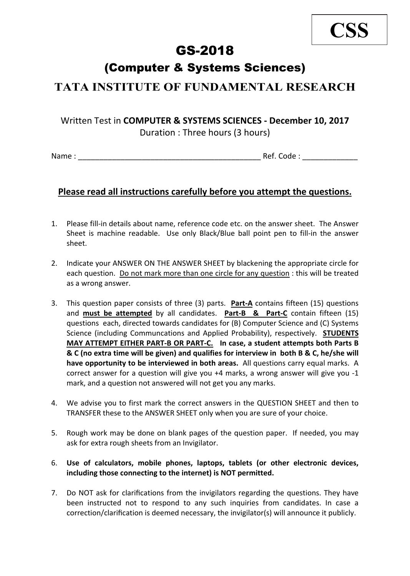### GS-2018

### (Computer & Systems Sciences)

### **TATA INSTITUTE OF FUNDAMENTAL RESEARCH**

## Written Test in **COMPUTER & SYSTEMS SCIENCES - December 10, 2017**

Duration : Three hours (3 hours)

Name : \_\_\_\_\_\_\_\_\_\_\_\_\_\_\_\_\_\_\_\_\_\_\_\_\_\_\_\_\_\_\_\_\_\_\_\_\_\_\_\_\_\_\_ Ref. Code : \_\_\_\_\_\_\_\_\_\_\_\_\_

#### **Please read all instructions carefully before you attempt the questions.**

- 1. Please fill-in details about name, reference code etc. on the answer sheet. The Answer Sheet is machine readable. Use only Black/Blue ball point pen to fill-in the answer sheet.
- 2. Indicate your ANSWER ON THE ANSWER SHEET by blackening the appropriate circle for each question. Do not mark more than one circle for any question : this will be treated as a wrong answer.
- 3. This question paper consists of three (3) parts. **Part-A** contains fifteen (15) questions and **must be attempted** by all candidates. **Part-B & Part-C** contain fifteen (15) questions each, directed towards candidates for (B) Computer Science and (C) Systems Science (including Communcations and Applied Probability), respectively. **STUDENTS MAY ATTEMPT EITHER PART-B OR PART-C. In case, a student attempts both Parts B & C (no extra time will be given) and qualifies for interview in both B & C, he/she will have opportunity to be interviewed in both areas.** All questions carry equal marks. A correct answer for a question will give you +4 marks, a wrong answer will give you -1 mark, and a question not answered will not get you any marks.
- 4. We advise you to first mark the correct answers in the QUESTION SHEET and then to TRANSFER these to the ANSWER SHEET only when you are sure of your choice.
- 5. Rough work may be done on blank pages of the question paper. If needed, you may ask for extra rough sheets from an Invigilator.
- 6. **Use of calculators, mobile phones, laptops, tablets (or other electronic devices, including those connecting to the internet) is NOT permitted.**
- 7. Do NOT ask for clarifications from the invigilators regarding the questions. They have been instructed not to respond to any such inquiries from candidates. In case a correction/clarification is deemed necessary, the invigilator(s) will announce it publicly.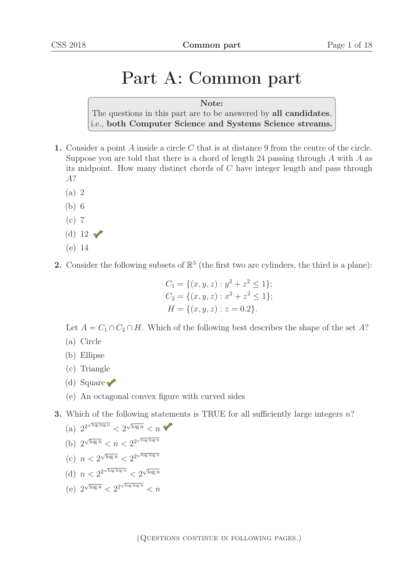## Part A: Common part

Note: The questions in this part are to be answered by all candidates, i.e., both Computer Science and Systems Science streams.

- 1. Consider a point  $A$  inside a circle  $C$  that is at distance 9 from the centre of the circle. Suppose you are told that there is a chord of length 24 passing through  $A$  with  $A$  as its midpoint. How many distinct chords of C have integer length and pass through A?
	- (a) 2
	- (b) 6
	- (c) 7
	- (d) 12  $\sqrt{ }$
	- (e) 14
- 2. Consider the following subsets of  $\mathbb{R}^3$  (the first two are cylinders, the third is a plane):

$$
C_1 = \{(x, y, z) : y^2 + z^2 \le 1\};
$$
  
\n
$$
C_2 = \{(x, y, z) : x^2 + z^2 \le 1\};
$$
  
\n
$$
H = \{(x, y, z) : z = 0.2\}.
$$

Let  $A = C_1 \cap C_2 \cap H$ . Which of the following best describes the shape of the set A?

- (a) Circle
- (b) Ellipse
- (c) Triangle
- (d) Square
- (e) An octagonal convex figure with curved sides
- **3.** Which of the following statements is TRUE for all sufficiently large integers  $n$ ?

(a) 
$$
2^{2^{\sqrt{\log \log n}}} < 2^{\sqrt{\log n}} < n
$$
 \n(b)  $2^{\sqrt{\log n}} < n < 2^{2^{\sqrt{\log \log n}}}$  \n(c)  $n < 2^{\sqrt{\log n}} < 2^{2^{\sqrt{\log \log n}}}$ 

- (d)  $n < 2^{2^{\sqrt{\log \log n}}} < 2^{\sqrt{\log n}}$
- (e)  $2^{\sqrt{\log n}} < 2^{2^{\sqrt{\log \log n}}} < n$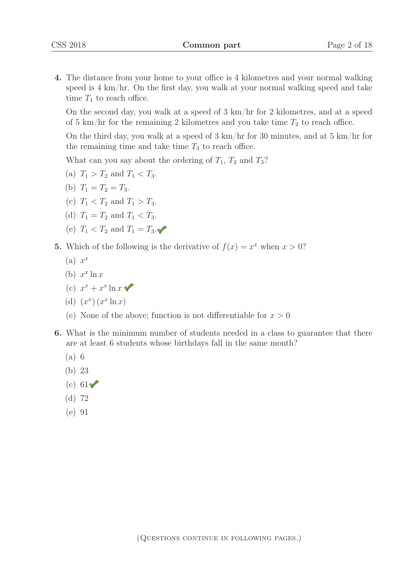4. The distance from your home to your office is 4 kilometres and your normal walking speed is 4 km/hr. On the first day, you walk at your normal walking speed and take time  $T_1$  to reach office.

On the second day, you walk at a speed of 3 km/hr for 2 kilometres, and at a speed of 5 km/hr for the remaining 2 kilometres and you take time  $T_2$  to reach office.

On the third day, you walk at a speed of 3 km/hr for 30 minutes, and at 5 km/hr for the remaining time and take time  $T_3$  to reach office.

What can you say about the ordering of  $T_1$ ,  $T_2$  and  $T_3$ ?

- (a)  $T_1 > T_2$  and  $T_1 < T_3$ .
- (b)  $T_1 = T_2 = T_3$ .
- (c)  $T_1 < T_2$  and  $T_1 > T_3$ .
- (d)  $T_1 = T_2$  and  $T_1 < T_3$ .
- (e)  $T_1 < T_2$  and  $T_1 = T_3$ .

5. Which of the following is the derivative of  $f(x) = x^x$  when  $x > 0$ ?

- $(a) x^x$
- (b)  $x^x \ln x$
- (c)  $x^x + x^x \ln x$
- (d)  $(x^x)(x^x \ln x)$
- (e) None of the above; function is not differentiable for  $x > 0$
- 6. What is the minimum number of students needed in a class to guarantee that there are at least 6 students whose birthdays fall in the same month?
	- (a) 6
	- (b) 23
	- (c)  $61\sqrt{ }$
	- (d) 72
	- (e) 91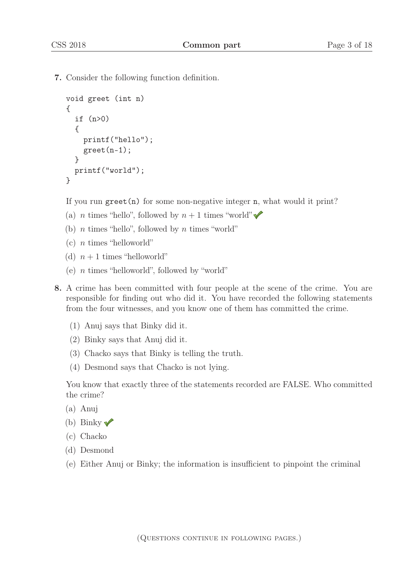7. Consider the following function definition.

```
void greet (int n)
{
  if (n>0)
  {
    printf("hello");
    greet(n-1);}
 printf("world");
}
```
If you run greet  $(n)$  for some non-negative integer n, what would it print?

- (a) *n* times "hello", followed by  $n + 1$  times "world"
- (b)  $n$  times "hello", followed by  $n$  times "world"
- $(c)$  *n* times "helloworld"
- (d)  $n+1$  times "helloworld"
- (e) n times "helloworld", followed by "world"
- 8. A crime has been committed with four people at the scene of the crime. You are responsible for finding out who did it. You have recorded the following statements from the four witnesses, and you know one of them has committed the crime.
	- (1) Anuj says that Binky did it.
	- (2) Binky says that Anuj did it.
	- (3) Chacko says that Binky is telling the truth.
	- (4) Desmond says that Chacko is not lying.

You know that exactly three of the statements recorded are FALSE. Who committed the crime?

- (a) Anuj
- (b) Binky  $\sqrt{\ }$
- (c) Chacko
- (d) Desmond
- (e) Either Anuj or Binky; the information is insufficient to pinpoint the criminal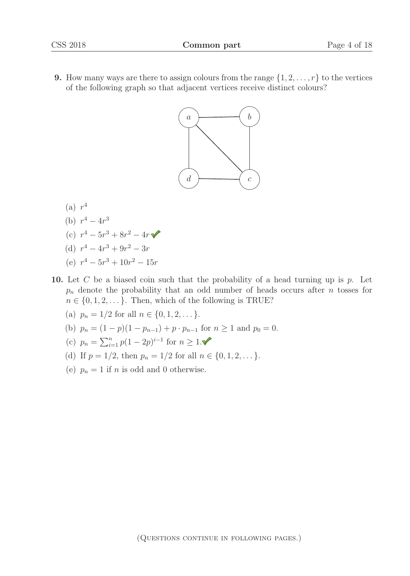**9.** How many ways are there to assign colours from the range  $\{1, 2, \ldots, r\}$  to the vertices of the following graph so that adjacent vertices receive distinct colours?



- $(a)$   $r<sup>4</sup>$
- (b)  $r^4 4r^3$
- (c)  $r^4 5r^3 + 8r^2 4r$
- (d)  $r^4 4r^3 + 9r^2 3r$
- (e)  $r^4 5r^3 + 10r^2 15r$
- 10. Let C be a biased coin such that the probability of a head turning up is  $p$ . Let  $p_n$  denote the probability that an odd number of heads occurs after n tosses for  $n \in \{0, 1, 2, \dots\}$ . Then, which of the following is TRUE?
	- (a)  $p_n = 1/2$  for all  $n \in \{0, 1, 2, \dots\}$ .
	- (b)  $p_n = (1 p)(1 p_{n-1}) + p \cdot p_{n-1}$  for  $n \ge 1$  and  $p_0 = 0$ .
	- (c)  $p_n = \sum_{i=1}^n p(1 2p)^{i-1}$  for  $n \ge 1$ .
	- (d) If  $p = 1/2$ , then  $p_n = 1/2$  for all  $n \in \{0, 1, 2, \dots\}$ .
	- (e)  $p_n = 1$  if n is odd and 0 otherwise.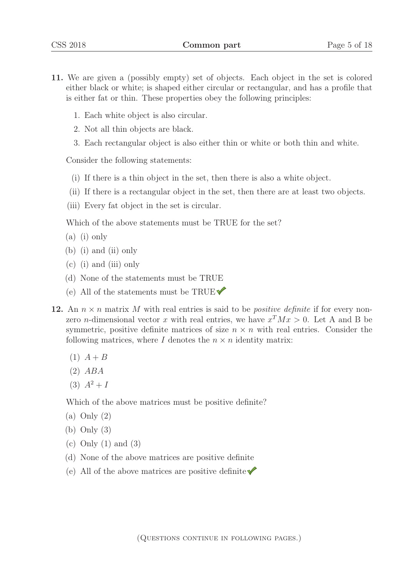- 11. We are given a (possibly empty) set of objects. Each object in the set is colored either black or white; is shaped either circular or rectangular, and has a profile that is either fat or thin. These properties obey the following principles:
	- 1. Each white object is also circular.
	- 2. Not all thin objects are black.
	- 3. Each rectangular object is also either thin or white or both thin and white.

Consider the following statements:

- (i) If there is a thin object in the set, then there is also a white object.
- (ii) If there is a rectangular object in the set, then there are at least two objects.
- (iii) Every fat object in the set is circular.

Which of the above statements must be TRUE for the set?

- (a) (i) only
- (b) (i) and (ii) only
- (c) (i) and (iii) only
- (d) None of the statements must be TRUE
- (e) All of the statements must be TRUE $\blacktriangledown$
- 12. An  $n \times n$  matrix M with real entries is said to be *positive definite* if for every nonzero *n*-dimensional vector x with real entries, we have  $x^T M x > 0$ . Let A and B be symmetric, positive definite matrices of size  $n \times n$  with real entries. Consider the following matrices, where  $I$  denotes the  $n \times n$  identity matrix:
	- $(1)$   $A + B$
	- (2) ABA
	- $(3)$   $A^2 + I$

Which of the above matrices must be positive definite?

- (a) Only (2)
- (b) Only (3)
- (c) Only (1) and (3)
- (d) None of the above matrices are positive definite
- (e) All of the above matrices are positive definite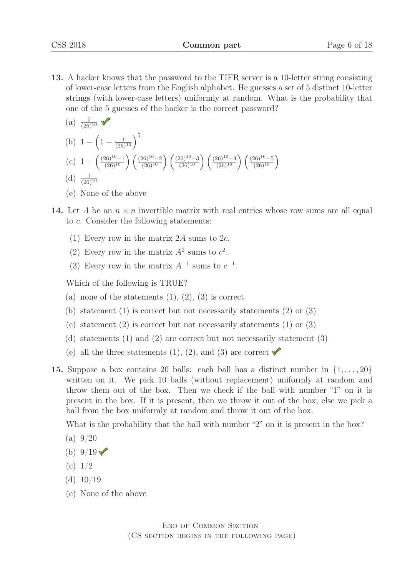- 13. A hacker knows that the password to the TIFR server is a 10-letter string consisting of lower-case letters from the English alphabet. He guesses a set of 5 distinct 10-letter strings (with lower-case letters) uniformly at random. What is the probability that one of the 5 guesses of the hacker is the correct password?
	- $(a) \frac{5}{(26)}$  $(20)^{-1}$ (b)  $1 - \left(1 - \frac{1}{(26)^{10}}\right)^5$ (c)  $1 - \left(\frac{(26)^{10} - 1}{(26)^{10}}\right) \left(\frac{(26)^{10} - 2}{(26)^{10}}\right) \left(\frac{(26)^{10} - 3}{(26)^{10}}\right) \left(\frac{(26)^{10} - 4}{(26)^{10}}\right) \left(\frac{(26)^{10} - 5}{(26)^{10}}\right)$  $(d) \frac{1}{(26)}$  $(20)^{10}$
	- (e) None of the above
- 14. Let A be an  $n \times n$  invertible matrix with real entries whose row sums are all equal to c. Consider the following statements:
	- (1) Every row in the matrix 2A sums to 2c.
	- (2) Every row in the matrix  $A^2$  sums to  $c^2$ .
	- (3) Every row in the matrix  $A^{-1}$  sums to  $c^{-1}$ .

Which of the following is TRUE?

- (a) none of the statements  $(1), (2), (3)$  is correct
- (b) statement (1) is correct but not necessarily statements (2) or (3)
- (c) statement (2) is correct but not necessarily statements (1) or (3)
- (d) statements (1) and (2) are correct but not necessarily statement (3)
- (e) all the three statements (1), (2), and (3) are correct  $\blacktriangledown$
- 15. Suppose a box contains 20 balls: each ball has a distinct number in  $\{1,\ldots,20\}$ written on it. We pick 10 balls (without replacement) uniformly at random and throw them out of the box. Then we check if the ball with number "1" on it is present in the box. If it is present, then we throw it out of the box; else we pick a ball from the box uniformly at random and throw it out of the box.

What is the probability that the ball with number "2" on it is present in the box?

- $(a) 9/20$
- (b)  $9/19$   $\checkmark$
- $(c) 1/2$
- (d)  $10/19$
- (e) None of the above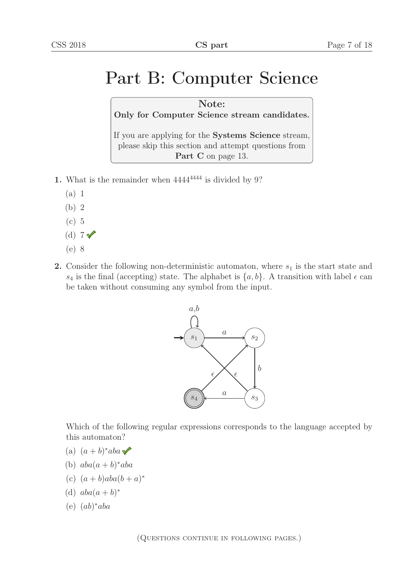# Part B: Computer Science

Note: Only for Computer Science stream candidates.

If you are applying for the Systems Science stream, please skip this section and attempt questions from Part C on page 13.

- 1. What is the remainder when  $4444^{4444}$  is divided by 9?
	- (a) 1
	- (b) 2
	- (c) 5
	- (d)  $7\sqrt{ }$
	- (e) 8
- **2.** Consider the following non-deterministic automaton, where  $s_1$  is the start state and  $s_4$  is the final (accepting) state. The alphabet is  $\{a, b\}$ . A transition with label  $\epsilon$  can be taken without consuming any symbol from the input.



Which of the following regular expressions corresponds to the language accepted by this automaton?

- (a)  $(a + b)^*aba \blacktriangleright$
- (b)  $aba(a + b)*aba$
- (c)  $(a + b)aba(b + a)^{*}$
- (d)  $aba(a + b)^*$
- (e) (ab)∗aba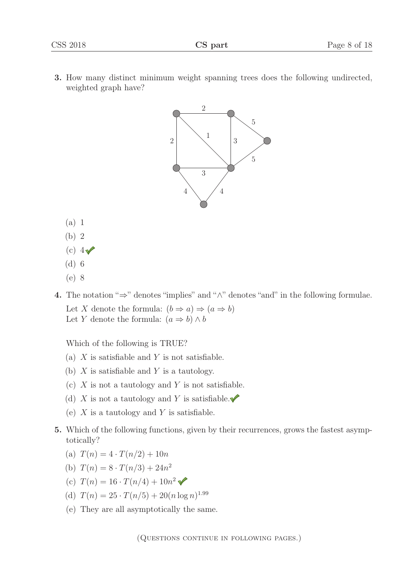3. How many distinct minimum weight spanning trees does the following undirected, weighted graph have?



- (a) 1
- (b) 2
- (c)  $4\sqrt{ }$
- (d) 6
- (e) 8
- 4. The notation "⇒" denotes "implies" and "∧" denotes "and" in the following formulae. Let X denote the formula:  $(b \Rightarrow a) \Rightarrow (a \Rightarrow b)$ Let Y denote the formula:  $(a \Rightarrow b) \land b$

Which of the following is TRUE?

- (a)  $X$  is satisfiable and  $Y$  is not satisfiable.
- (b)  $X$  is satisfiable and  $Y$  is a tautology.
- (c)  $X$  is not a tautology and  $Y$  is not satisfiable.
- (d) X is not a tautology and Y is satisfiable.
- (e)  $X$  is a tautology and  $Y$  is satisfiable.
- 5. Which of the following functions, given by their recurrences, grows the fastest asymptotically?
	- (a)  $T(n)=4 \cdot T(n/2) + 10n$
	- (b)  $T(n)=8 \cdot T(n/3) + 24n^2$
	- (c)  $T(n) = 16 \cdot T(n/4) + 10n^2$
	- (d)  $T(n) = 25 \cdot T(n/5) + 20(n \log n)^{1.99}$
	- (e) They are all asymptotically the same.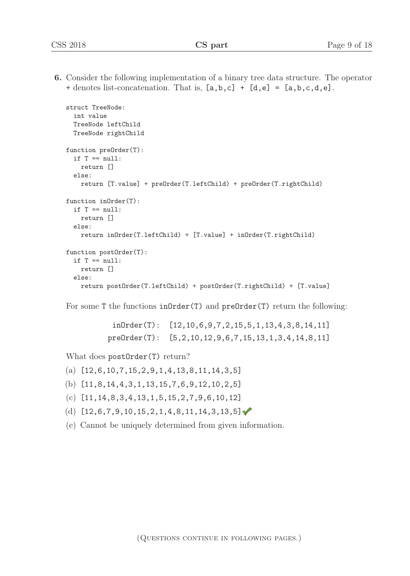6. Consider the following implementation of a binary tree data structure. The operator + denotes list-concatenation. That is,  $[a,b,c]$  +  $[d,e]$  =  $[a,b,c,d,e]$ .

```
struct TreeNode:
 int value
 TreeNode leftChild
 TreeNode rightChild
function preOrder(T):
  if T == null:
    return []
 else:
    return [T.value] + preOrder(T.leftChild) + preOrder(T.rightChild)
function inOrder(T):
 if T == null:
    return []
  else:
    return inOrder(T.leftChild) + [T.value] + inOrder(T.rightChild)
function postOrder(T):
  if T == null:
    return []
  else:
   return postOrder(T.leftChild) + postOrder(T.rightChild) + [T.value]
```
For some T the functions in Order(T) and preOrder(T) return the following:

inOrder(T): [12,10,6,9,7,2,15,5,1,13,4,3,8,14,11] preOrder(T): [5,2,10,12,9,6,7,15,13,1,3,4,14,8,11]

What does postOrder(T) return?

- $(a)$  [12,6,10,7,15,2,9,1,4,13,8,11,14,3,5]
- (b) [11,8,14,4,3,1,13,15,7,6,9,12,10,2,5]
- (c) [11,14,8,3,4,13,1,5,15,2,7,9,6,10,12]
- (d)  $[12,6,7,9,10,15,2,1,4,8,11,14,3,13,5]$
- (e) Cannot be uniquely determined from given information.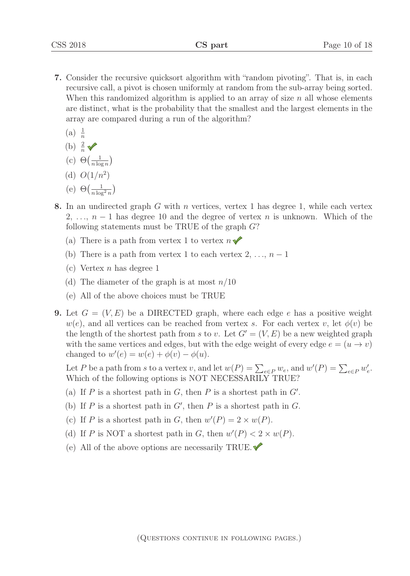- 7. Consider the recursive quicksort algorithm with "random pivoting". That is, in each recursive call, a pivot is chosen uniformly at random from the sub-array being sorted. When this randomized algorithm is applied to an array of size  $n$  all whose elements are distinct, what is the probability that the smallest and the largest elements in the array are compared during a run of the algorithm?
	- $(a) \frac{1}{n}$
	- $(b) \frac{2}{n}$
	- (c)  $\Theta\left(\frac{1}{n \log n}\right)$  $n \log n$  $\mathcal{L}$
	- (d)  $O(1/n^2)$
	- (e)  $\Theta\left(\frac{1}{n \log n}\right)$  $n \log^2 n$  $\big)$
- 8. In an undirected graph  $G$  with  $n$  vertices, vertex 1 has degree 1, while each vertex 2, ...,  $n-1$  has degree 10 and the degree of vertex n is unknown. Which of the following statements must be TRUE of the graph  $G$ ?
	- (a) There is a path from vertex 1 to vertex  $n \blacktriangleright$
	- (b) There is a path from vertex 1 to each vertex  $2, \ldots, n-1$
	- (c) Vertex  $n$  has degree 1
	- (d) The diameter of the graph is at most  $n/10$
	- (e) All of the above choices must be TRUE
- **9.** Let  $G = (V, E)$  be a DIRECTED graph, where each edge e has a positive weight  $w(e)$ , and all vertices can be reached from vertex s. For each vertex v, let  $\phi(v)$  be the length of the shortest path from s to v. Let  $G' = (V, E)$  be a new weighted graph with the same vertices and edges, but with the edge weight of every edge  $e = (u \rightarrow v)$ changed to  $w'(e) = w(e) + \phi(v) - \phi(u)$ .

Let P be a path from s to a vertex v, and let  $w(P) = \sum_{e \in P} w_e$ , and  $w'(P) = \sum_{e \in P} w'_e$ . Which of the following options is NOT NECESSARILY TRUE?

- (a) If  $P$  is a shortest path in  $G$ , then  $P$  is a shortest path in  $G'$ .
- (b) If  $P$  is a shortest path in  $G'$ , then  $P$  is a shortest path in  $G$ .
- (c) If P is a shortest path in G, then  $w'(P) = 2 \times w(P)$ .
- (d) If P is NOT a shortest path in G, then  $w'(P) < 2 \times w(P)$ .
- (e) All of the above options are necessarily TRUE.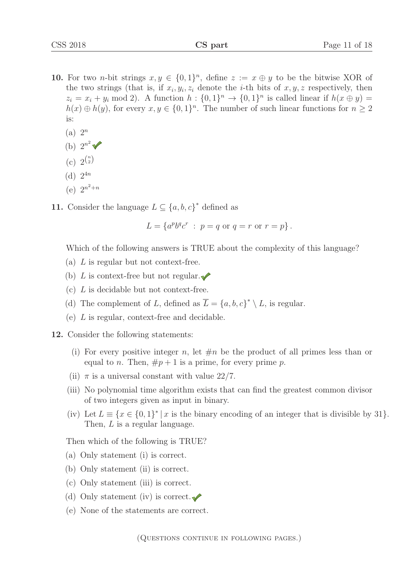- 10. For two *n*-bit strings  $x, y \in \{0, 1\}^n$ , define  $z := x \oplus y$  to be the bitwise XOR of the two strings (that is, if  $x_i, y_i, z_i$  denote the *i*-th bits of  $x, y, z$  respectively, then  $z_i = x_i + y_i \mod 2$ . A function  $h : \{0,1\}^n \rightarrow \{0,1\}^n$  is called linear if  $h(x \oplus y) =$  $h(x) \oplus h(y)$ , for every  $x, y \in \{0,1\}^n$ . The number of such linear functions for  $n \geq 2$ is:
	- $(a)$   $2^n$
	- (b)  $2^{n^2}$   $\sqrt{\ }$
	- (c)  $2^{\binom{n}{2}}$
	- (d)  $2^{4n}$
	- (e)  $2^{n^2+n}$
- 11. Consider the language  $L \subseteq \{a, b, c\}^*$  defined as

$$
L = \{a^p b^q c^r : p = q \text{ or } q = r \text{ or } r = p\}.
$$

Which of the following answers is TRUE about the complexity of this language?

- (a)  $L$  is regular but not context-free.
- (b) L is context-free but not regular.  $\bullet$
- (c) L is decidable but not context-free.
- (d) The complement of L, defined as  $\overline{L} = \{a, b, c\}^* \setminus L$ , is regular.
- (e) L is regular, context-free and decidable.

12. Consider the following statements:

- (i) For every positive integer n, let  $\#n$  be the product of all primes less than or equal to n. Then,  $\#p+1$  is a prime, for every prime p.
- (ii)  $\pi$  is a universal constant with value 22/7.
- (iii) No polynomial time algorithm exists that can find the greatest common divisor of two integers given as input in binary.
- (iv) Let  $L \equiv \{x \in \{0,1\}^* | x$  is the binary encoding of an integer that is divisible by 31}. Then, L is a regular language.

Then which of the following is TRUE?

- (a) Only statement (i) is correct.
- (b) Only statement (ii) is correct.
- (c) Only statement (iii) is correct.
- (d) Only statement (iv) is correct.
- (e) None of the statements are correct.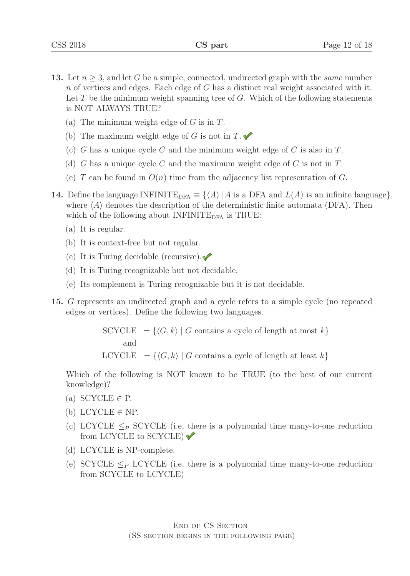- **13.** Let  $n \geq 3$ , and let G be a simple, connected, undirected graph with the *same* number n of vertices and edges. Each edge of  $G$  has a distinct real weight associated with it. Let  $T$  be the minimum weight spanning tree of  $G$ . Which of the following statements is NOT ALWAYS TRUE?
	- (a) The minimum weight edge of  $G$  is in  $T$ .
	- (b) The maximum weight edge of G is not in  $T.\blacktriangleright$
	- (c) G has a unique cycle C and the minimum weight edge of C is also in  $T$ .
	- (d) G has a unique cycle C and the maximum weight edge of C is not in  $T$ .
	- (e) T can be found in  $O(n)$  time from the adjacency list representation of G.
- **14.** Define the language INFINITE<sub>DFA</sub>  $\equiv \{ \langle A \rangle | A$  is a DFA and  $L(A)$  is an infinite language, where  $\langle A \rangle$  denotes the description of the deterministic finite automata (DFA). Then which of the following about  $INFINITE<sub>DFA</sub>$  is TRUE:
	- (a) It is regular.
	- (b) It is context-free but not regular.
	- (c) It is Turing decidable (recursive). $\sqrt{\phantom{a}}$
	- (d) It is Turing recognizable but not decidable.
	- (e) Its complement is Turing recognizable but it is not decidable.
- 15. G represents an undirected graph and a cycle refers to a simple cycle (no repeated edges or vertices). Define the following two languages.

 $\text{SCYCLE} = \{ \langle G, k \rangle \mid G \text{ contains a cycle of length at most } k \}$ and LCYCLE  $= \{ \langle G, k \rangle \mid G \text{ contains a cycle of length at least } k \}$ 

Which of the following is NOT known to be TRUE (to the best of our current knowledge)?

- (a) SCYCLE  $\in$  P.
- (b) LCYCLE  $\in$  NP.
- (c) LCYCLE  $\leq_P$  SCYCLE (i.e, there is a polynomial time many-to-one reduction from LCYCLE to SCYCLE)
- (d) LCYCLE is NP-complete.
- (e) SCYCLE  $\leq_P$  LCYCLE (i.e, there is a polynomial time many-to-one reduction from SCYCLE to LCYCLE)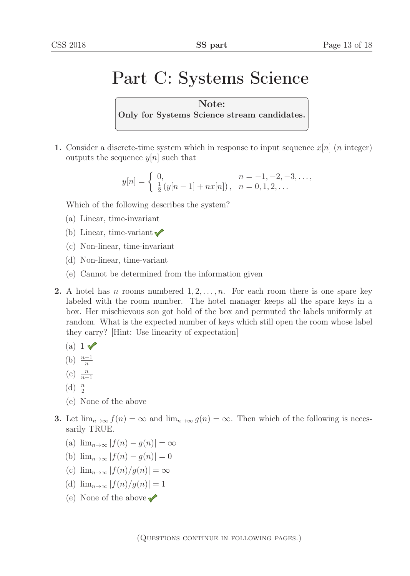## Part C: Systems Science

Note: Only for Systems Science stream candidates.

1. Consider a discrete-time system which in response to input sequence  $x[n]$  (*n* integer) outputs the sequence  $y[n]$  such that

$$
y[n] = \begin{cases} 0, & n = -1, -2, -3, \dots, \\ \frac{1}{2}(y[n-1] + nx[n]), & n = 0, 1, 2, \dots \end{cases}
$$

Which of the following describes the system?

- (a) Linear, time-invariant
- (b) Linear, time-variant  $\sqrt{\ }$
- (c) Non-linear, time-invariant
- (d) Non-linear, time-variant
- (e) Cannot be determined from the information given
- **2.** A hotel has *n* rooms numbered  $1, 2, \ldots, n$ . For each room there is one spare key labeled with the room number. The hotel manager keeps all the spare keys in a box. Her mischievous son got hold of the box and permuted the labels uniformly at random. What is the expected number of keys which still open the room whose label they carry? [Hint: Use linearity of expectation]
	- (a)  $1 \sqrt{}$
	- (b)  $\frac{n-1}{n}$
	- (c)  $\frac{n}{n}$ <sup>n</sup>−1
	- (d)  $\frac{n}{2}$
	- 2 (e) None of the above
- 3. Let  $\lim_{n\to\infty} f(n) = \infty$  and  $\lim_{n\to\infty} g(n) = \infty$ . Then which of the following is necessarily TRUE.
	- (a)  $\lim_{n\to\infty} |f(n) g(n)| = \infty$
	- (b)  $\lim_{n\to\infty} |f(n) g(n)| = 0$
	- (c)  $\lim_{n\to\infty} |f(n)/g(n)| = \infty$
	- (d)  $\lim_{n\to\infty} |f(n)/g(n)| = 1$
	- (e) None of the above  $\blacktriangleright$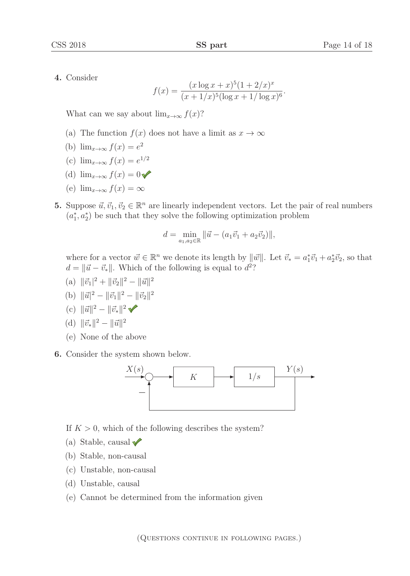4. Consider

$$
f(x) = \frac{(x \log x + x)^5 (1 + 2/x)^x}{(x + 1/x)^5 (\log x + 1/\log x)^6}.
$$

What can we say about  $\lim_{x\to\infty} f(x)$ ?

- (a) The function  $f(x)$  does not have a limit as  $x \to \infty$
- (b)  $\lim_{x\to\infty} f(x) = e^2$
- (c)  $\lim_{x\to\infty} f(x) = e^{1/2}$
- (d)  $\lim_{x\to\infty} f(x)=0$
- (e)  $\lim_{x\to\infty} f(x) = \infty$
- 5. Suppose  $\vec{u}, \vec{v}_1, \vec{v}_2 \in \mathbb{R}^n$  are linearly independent vectors. Let the pair of real numbers  $(a_1^*, a_2^*)$  be such that they solve the following optimization problem

$$
d = \min_{a_1, a_2 \in \mathbb{R}} ||\vec{u} - (a_1\vec{v}_1 + a_2\vec{v}_2)||,
$$

where for a vector  $\vec{w} \in \mathbb{R}^n$  we denote its length by  $\|\vec{w}\|$ . Let  $\vec{v}_* = a_1^* \vec{v}_1 + a_2^* \vec{v}_2$ , so that  $d = \|\vec{w}\|$ ,  $\vec{w}$  is not the following is equal to  $d^2$ ?  $d = ||\vec{u} - \vec{v}_*||$ . Which of the following is equal to  $d^2$ ?

- (a)  $\|\vec{v}_1\|^2 + \|\vec{v}_2\|^2 \|\vec{u}\|^2$
- (b)  $\|\vec{u}\|^2 \|\vec{v}_1\|^2 \|\vec{v}_2\|^2$
- (c)  $\|\vec{u}\|^2 \|\vec{v}_*\|^2$

(d) 
$$
\|\vec{v}_*\|^2 - \|\vec{u}\|^2
$$

- (e) None of the above
- 6. Consider the system shown below.



- If  $K > 0$ , which of the following describes the system?
- (a) Stable, causal
- (b) Stable, non-causal
- (c) Unstable, non-causal
- (d) Unstable, causal
- (e) Cannot be determined from the information given

(Questions continue in following pages.)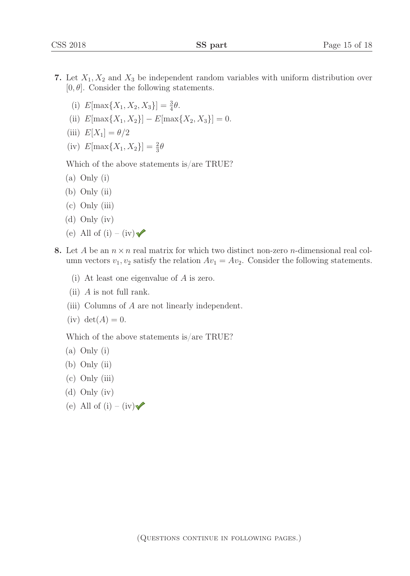- 7. Let  $X_1, X_2$  and  $X_3$  be independent random variables with uniform distribution over  $[0, \theta]$ . Consider the following statements.
	- (i)  $E[\max\{X_1, X_2, X_3\}] = \frac{3}{4}\theta.$
	- (ii)  $E[\max\{X_1, X_2\}] E[\max\{X_2, X_3\}] = 0.$
	- (iii)  $E[X_1] = \theta/2$
	- (iv)  $E[\max\{X_1, X_2\}] = \frac{2}{3}\theta$

Which of the above statements is/are TRUE?

- (a) Only (i)
- (b) Only (ii)
- (c) Only (iii)
- (d) Only (iv)
- (e) All of (i) (iv)
- 8. Let A be an  $n \times n$  real matrix for which two distinct non-zero *n*-dimensional real column vectors  $v_1, v_2$  satisfy the relation  $Av_1 = Av_2$ . Consider the following statements.
	- (i) At least one eigenvalue of A is zero.
	- (ii)  $A$  is not full rank.
	- (iii) Columns of A are not linearly independent.
	- $(iv) det(A) = 0.$

Which of the above statements is/are TRUE?

- (a) Only (i)
- (b) Only (ii)
- (c) Only (iii)
- (d) Only (iv)
- (e) All of (i) (iv)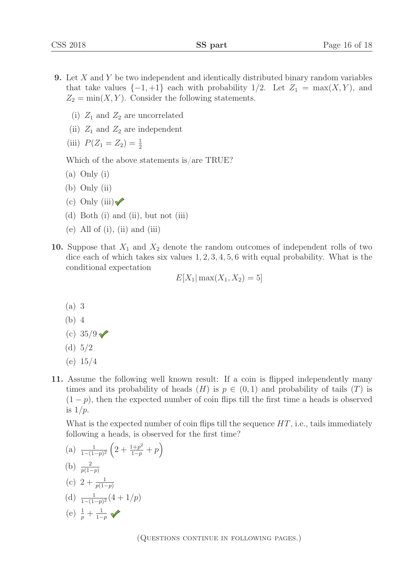- 9. Let X and Y be two independent and identically distributed binary random variables that take values  $\{-1, +1\}$  each with probability  $1/2$ . Let  $Z_1 = \max(X, Y)$ , and  $Z_2 = \min(X, Y)$ . Consider the following statements.
	- (i)  $Z_1$  and  $Z_2$  are uncorrelated
	- (ii)  $Z_1$  and  $Z_2$  are independent
	- (iii)  $P(Z_1 = Z_2) = \frac{1}{2}$

Which of the above statements is/are TRUE?

- (a) Only (i)
- (b) Only (ii)
- $(c)$  Only (iii)
- (d) Both (i) and (ii), but not (iii)
- (e) All of  $(i)$ ,  $(ii)$  and  $(iii)$
- 10. Suppose that  $X_1$  and  $X_2$  denote the random outcomes of independent rolls of two dice each of which takes six values  $1, 2, 3, 4, 5, 6$  with equal probability. What is the conditional expectation

$$
E[X_1| \max(X_1, X_2) = 5]
$$

- (a) 3
- (b) 4
- (c)  $35/9 \sqrt{ }$
- (d) 5/2
- (e) 15/4
- 11. Assume the following well known result: If a coin is flipped independently many times and its probability of heads  $(H)$  is  $p \in (0,1)$  and probability of tails  $(T)$  is  $(1-p)$ , then the expected number of coin flips till the first time a heads is observed is  $1/p$ .

What is the expected number of coin flips till the sequence  $HT$ , i.e., tails immediately following a heads, is observed for the first time?

(a) 
$$
\frac{1}{1-(1-p)^2} \left(2 + \frac{1+p^2}{1-p} + p\right)
$$
  
\n(b)  $\frac{2}{p(1-p)}$   
\n(c)  $2 + \frac{1}{p(1-p)}$   
\n(d)  $\frac{1}{1-(1-p)^2} (4+1/p)$   
\n(e)  $\frac{1}{p} + \frac{1}{1-p}$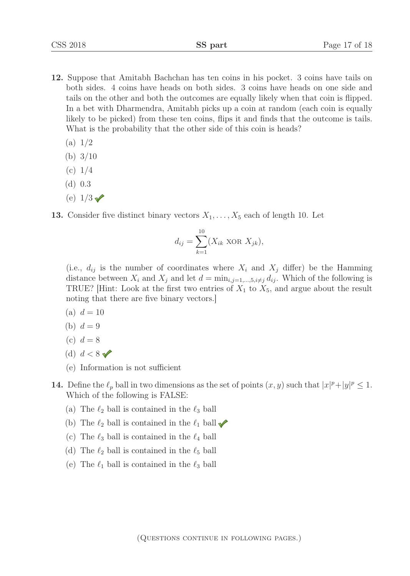- 12. Suppose that Amitabh Bachchan has ten coins in his pocket. 3 coins have tails on both sides. 4 coins have heads on both sides. 3 coins have heads on one side and tails on the other and both the outcomes are equally likely when that coin is flipped. In a bet with Dharmendra, Amitabh picks up a coin at random (each coin is equally likely to be picked) from these ten coins, flips it and finds that the outcome is tails. What is the probability that the other side of this coin is heads?
	- (a) 1/2
	- (b) 3/10
	- $(c) 1/4$
	- (d) 0.3
	- (e)  $1/3 \sqrt{ }$
- 13. Consider five distinct binary vectors  $X_1, \ldots, X_5$  each of length 10. Let

$$
d_{ij} = \sum_{k=1}^{10} (X_{ik} \text{ XOR } X_{jk}),
$$

(i.e.,  $d_{ij}$  is the number of coordinates where  $X_i$  and  $X_j$  differ) be the Hamming distance between  $X_i$  and  $X_j$  and let  $d = \min_{i,j=1,\dots,5, i \neq j} d_{ij}$ . Which of the following is TRUE? Hint: Look at the first two entries of  $X_1$  to  $X_5$ , and argue about the result noting that there are five binary vectors.]

- (a)  $d = 10$
- (b)  $d = 9$
- (c)  $d = 8$
- (d)  $d < 8 \sqrt{ }$
- (e) Information is not sufficient
- **14.** Define the  $\ell_p$  ball in two dimensions as the set of points  $(x, y)$  such that  $|x|^p + |y|^p \leq 1$ . Which of the following is FALSE:
	- (a) The  $\ell_2$  ball is contained in the  $\ell_3$  ball
	- (b) The  $\ell_2$  ball is contained in the  $\ell_1$  ball
	- (c) The  $\ell_3$  ball is contained in the  $\ell_4$  ball
	- (d) The  $\ell_2$  ball is contained in the  $\ell_5$  ball
	- (e) The  $\ell_1$  ball is contained in the  $\ell_3$  ball